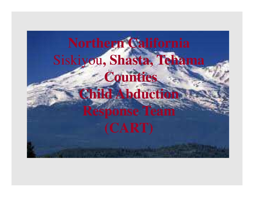# **Northern California** Siskiyou**, Shasta, TehamaCounties Child Abduction Response Team**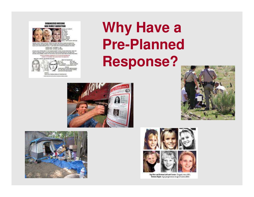



TWETHET PRAINTED ON FRONT AND PROPILE ANGER ON ANDERESTING.<br>IT ANIETA. FLETAN COLORAD ANGEN SYSTEMATIK, KINYET ANGERT BOOKS.<br>HIN SIGLES, IT LORG PEARL ANNEL EARSKER RESENBLIKE FEATHERS. GENERAL BACK: MOVEMENT IS, 1991<br>GENERAL TRENE, GALIFARDS

UNEMANTAL AND A FRANKE WIRK! TO THE NUANADHE WARNER WITHIN 2 IN JOINA PROMI HOUSE, WHIN THEY<br>Game fort, Victorarya went to bet him in Schools, House had been intered to the about the.<br>Workers and Graphic, Forces him with a



GONNACT.<br>ROSM LOCK, FEDERAL BUREAU OF WASTERATION. PERSONAL ROOTS WITH A GOOD ALT WERE LIKED.

## **Why Have a Pre-Planned Response?**









Top Row and Bottom Left and Center: Dugard, circa 1991; Bottom Right: Age-progression at age 25 (circa 2005)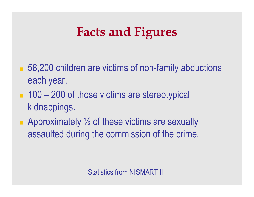## **Facts and Figures**

- 58,200 children are victims of non-family abductions each year.
- 100 200 of those victims are stereotypical kidnappings.
- **Approximately**  $\frac{1}{2}$  **of these victims are sexually** assaulted during the commission of the crime.

Statistics from NISMART II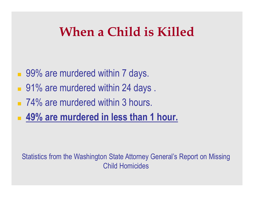### **When a Child is Killed**

- 99% are murdered within 7 days.
- 91% are murdered within 24 days.
- 74% are murdered within 3 hours.
- **49% are murdered in less than 1 hour.**

Statistics from the Washington State Attorney General's Report on Missing Child Homicides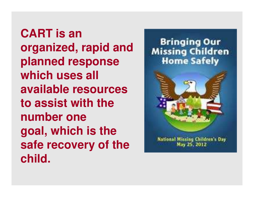**CART is an organized, rapid and planned response which uses all available resources to assist with the number one goal, which is the safe recovery of the child.**



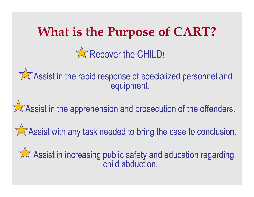## **What is the Purpose of CART?**Recover the CHILD!

Assist in the rapid response of specialized personnel and equipment.

 $\sqrt{\phantom{a}}$  Assist in the apprehension and prosecution of the offenders.

**Assist with any task needed to bring the case to conclusion.** 

 $\sqrt{\phantom{a}}$  Assist in increasing public safety and education regarding child abduction.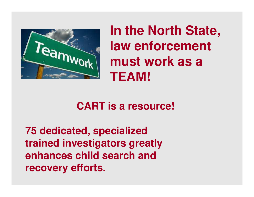

**In the North State, law enforcement must work as a TEAM!**

#### **CART is a resource!**

**75 dedicated, specialized trained investigators greatly enhances child search andrecovery efforts.**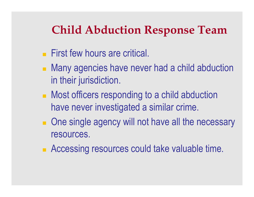#### **Child Abduction Response Team**

- **First few hours are critical.**
- Many agencies have never had a child abduction in their jurisdiction.
- **Nost officers responding to a child abduction** have never investigated a similar crime.
- **Diamage 10 act as a grading will not have all the necessary** resources.
- **Accessing resources could take valuable time.**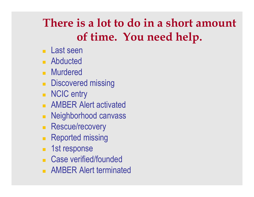### **There is a lot to do in a short amount of time. You need help.**

- Last seen
- **Abducted**
- **Nurdered**
- **Discovered missing**
- **NCIC** entry
- AMBER Alert activated
- **Neighborhood canvass**
- **Rescue/recovery**
- **Reported missing**
- 1st response
- **Case verified/founded**
- **AMBER Alert terminated**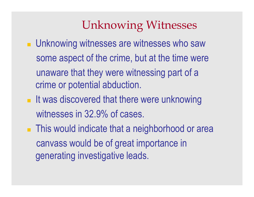#### Unknowing Witnesses

- **Late Unknowing witnesses are witnesses who saw** some aspect of the crime, but at the time wereunaware that they were witnessing part of a crime or potential abduction.
- **It was discovered that there were unknowing** witnesses in 32.9% of cases.
- **This would indicate that a neighborhood or area** canvass would be of great importance in generating investigative leads.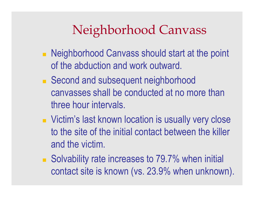## Neighborhood Canvass

- **Neighborhood Canvass should start at the point** of the abduction and work outward.
- Second and subsequent neighborhood canvasses shall be conducted at no more than three hour intervals.
- Victim's last known location is usually very close to the site of the initial contact between the killer and the victim.
- Solvability rate increases to 79.7% when initial contact site is known (vs. 23.9% when unknown).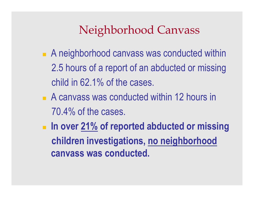#### Neighborhood Canvass

- **A neighborhood canvass was conducted within** 2.5 hours of a report of an abducted or missingchild in 62.1% of the cases.
- A canvass was conducted within 12 hours in 70.4% of the cases.
- **In over 21% of reported abducted or missing children investigations, no neighborhoodcanvass was conducted.**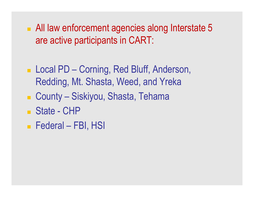- All law enforcement agencies along Interstate 5 are active participants in CART:
- Local PD Corning, Red Bluff, Anderson, Redding, Mt. Shasta, Weed, and Yreka
- County Siskiyou, Shasta, Tehama
- State CHP
- Federal FBI, HSI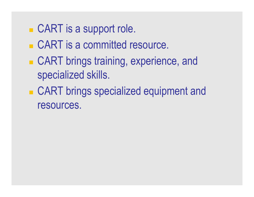## ■ CART is a support role.

- CART is a committed resource.
- CART brings training, experience, and specialized skills.
- CART brings specialized equipment and resources.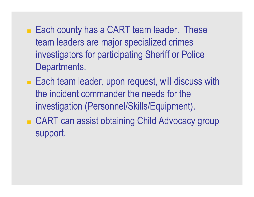- Each county has a CART team leader. These team leaders are major specialized crimes investigators for participating Sheriff or Police Departments.
- Each team leader, upon request, will discuss with the incident commander the needs for the investigation (Personnel/Skills/Equipment).
- CART can assist obtaining Child Advocacy group support.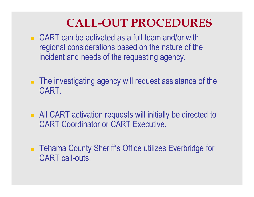#### **CALL-OUT PROCEDURES**

- CART can be activated as a full team and/or with regional considerations based on the nature of the incident and needs of the requesting agency.
- **The investigating agency will request assistance of the** CART.
- **All CART** activation requests will initially be directed to CART Coordinator or CART Executive.
- **Tehama County Sheriff's Office utilizes Everbridge for** CART call-outs.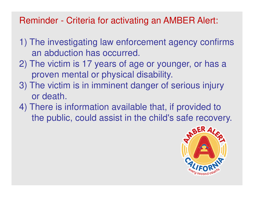#### Reminder - Criteria for activating an AMBER Alert:

- 1) The investigating law enforcement agency confirmsan abduction has occurred.
- 2) The victim is 17 years of age or younger, or has a proven mental or physical disability.
- 3) The victim is in imminent danger of serious injury or death.
- 4) There is information available that, if provided to the public, could assist in the child's safe recovery.

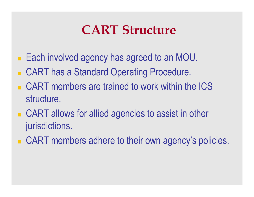### **CART Structure**

- Each involved agency has agreed to an MOU.
- CART has a Standard Operating Procedure.
- CART members are trained to work within the ICS structure.
- CART allows for allied agencies to assist in other jurisdictions.
- CART members adhere to their own agency's policies.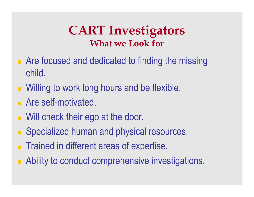#### **CART InvestigatorsWhat we Look for**

- **Are focused and dedicated to finding the missing** child.
- **Nilling to work long hours and be flexible.**
- **Are self-motivated.**
- **Nill check their ego at the door.**
- **Specialized human and physical resources.**
- **Trained in different areas of expertise.**
- **Ability to conduct comprehensive investigations.**